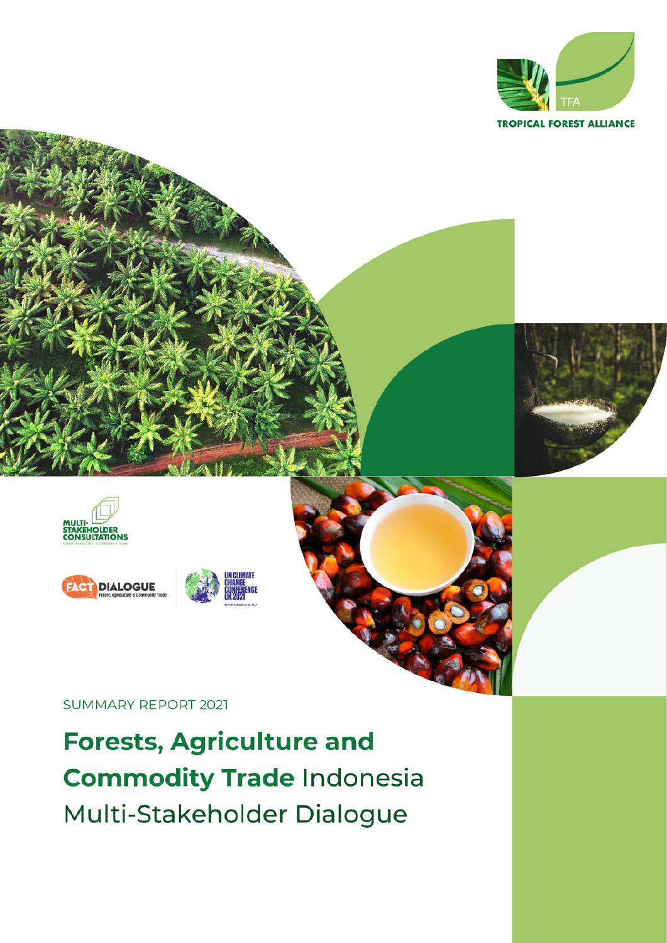



Forests, Agriculture and Commodity Trade Indonesia Multi-Stakeholder Dialogue 1

**SUMMARY REPORT 2021** 

**Forests, Agriculture and Commodity Trade Indonesia** Multi-Stakeholder Dialogue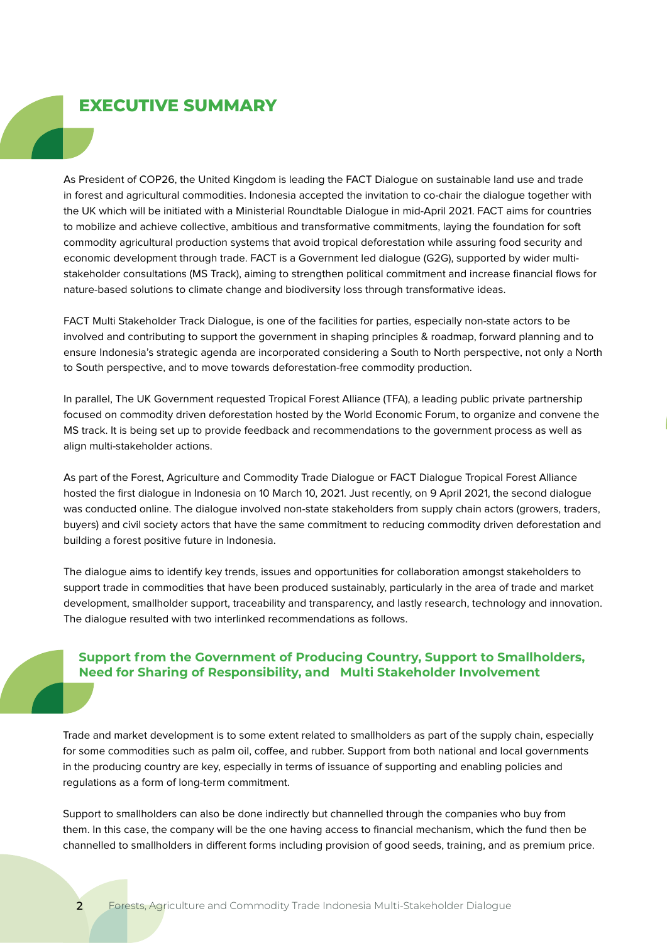# **EXECUTIVE SUMMARY**

As President of COP26, the United Kingdom is leading the FACT Dialogue on sustainable land use and trade in forest and agricultural commodities. Indonesia accepted the invitation to co-chair the dialogue together with the UK which will be initiated with a Ministerial Roundtable Dialogue in mid-April 2021. FACT aims for countries to mobilize and achieve collective, ambitious and transformative commitments, laying the foundation for soft commodity agricultural production systems that avoid tropical deforestation while assuring food security and economic development through trade. FACT is a Government led dialogue (G2G), supported by wider multistakeholder consultations (MS Track), aiming to strengthen political commitment and increase financial flows for nature-based solutions to climate change and biodiversity loss through transformative ideas.

FACT Multi Stakeholder Track Dialogue, is one of the facilities for parties, especially non-state actors to be involved and contributing to support the government in shaping principles & roadmap, forward planning and to ensure Indonesia's strategic agenda are incorporated considering a South to North perspective, not only a North to South perspective, and to move towards deforestation-free commodity production.

In parallel, The UK Government requested Tropical Forest Alliance (TFA), a leading public private partnership focused on commodity driven deforestation hosted by the World Economic Forum, to organize and convene the MS track. It is being set up to provide feedback and recommendations to the government process as well as align multi-stakeholder actions.

As part of the Forest, Agriculture and Commodity Trade Dialogue or FACT Dialogue Tropical Forest Alliance hosted the first dialogue in Indonesia on 10 March 10, 2021. Just recently, on 9 April 2021, the second dialogue was conducted online. The dialogue involved non-state stakeholders from supply chain actors (growers, traders, buyers) and civil society actors that have the same commitment to reducing commodity driven deforestation and building a forest positive future in Indonesia.

The dialogue aims to identify key trends, issues and opportunities for collaboration amongst stakeholders to support trade in commodities that have been produced sustainably, particularly in the area of trade and market development, smallholder support, traceability and transparency, and lastly research, technology and innovation. The dialogue resulted with two interlinked recommendations as follows.

# **Support from the Government of Producing Country, Support to Smallholders, Need for Sharing of Responsibility, and Multi Stakeholder Involvement**

Trade and market development is to some extent related to smallholders as part of the supply chain, especially for some commodities such as palm oil, coffee, and rubber. Support from both national and local governments in the producing country are key, especially in terms of issuance of supporting and enabling policies and regulations as a form of long-term commitment.

Support to smallholders can also be done indirectly but channelled through the companies who buy from them. In this case, the company will be the one having access to financial mechanism, which the fund then be channelled to smallholders in different forms including provision of good seeds, training, and as premium price.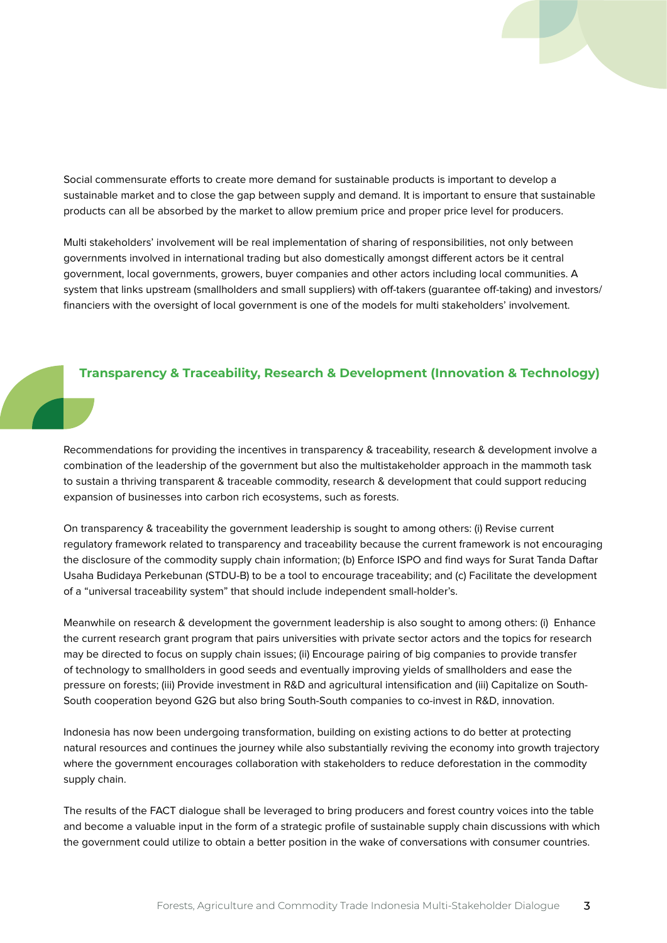Social commensurate efforts to create more demand for sustainable products is important to develop a sustainable market and to close the gap between supply and demand. It is important to ensure that sustainable products can all be absorbed by the market to allow premium price and proper price level for producers.

Multi stakeholders' involvement will be real implementation of sharing of responsibilities, not only between governments involved in international trading but also domestically amongst different actors be it central government, local governments, growers, buyer companies and other actors including local communities. A system that links upstream (smallholders and small suppliers) with off-takers (guarantee off-taking) and investors/ financiers with the oversight of local government is one of the models for multi stakeholders' involvement.

### **Transparency & Traceability, Research & Development (Innovation & Technology)**

Recommendations for providing the incentives in transparency & traceability, research & development involve a combination of the leadership of the government but also the multistakeholder approach in the mammoth task to sustain a thriving transparent & traceable commodity, research & development that could support reducing expansion of businesses into carbon rich ecosystems, such as forests.

On transparency & traceability the government leadership is sought to among others: (i) Revise current regulatory framework related to transparency and traceability because the current framework is not encouraging the disclosure of the commodity supply chain information; (b) Enforce ISPO and find ways for Surat Tanda Daftar Usaha Budidaya Perkebunan (STDU-B) to be a tool to encourage traceability; and (c) Facilitate the development of a "universal traceability system" that should include independent small-holder's.

Meanwhile on research & development the government leadership is also sought to among others: (i) Enhance the current research grant program that pairs universities with private sector actors and the topics for research may be directed to focus on supply chain issues; (ii) Encourage pairing of big companies to provide transfer of technology to smallholders in good seeds and eventually improving yields of smallholders and ease the pressure on forests; (iii) Provide investment in R&D and agricultural intensification and (iii) Capitalize on South-South cooperation beyond G2G but also bring South-South companies to co-invest in R&D, innovation.

Indonesia has now been undergoing transformation, building on existing actions to do better at protecting natural resources and continues the journey while also substantially reviving the economy into growth trajectory where the government encourages collaboration with stakeholders to reduce deforestation in the commodity supply chain.

The results of the FACT dialogue shall be leveraged to bring producers and forest country voices into the table and become a valuable input in the form of a strategic profile of sustainable supply chain discussions with which the government could utilize to obtain a better position in the wake of conversations with consumer countries.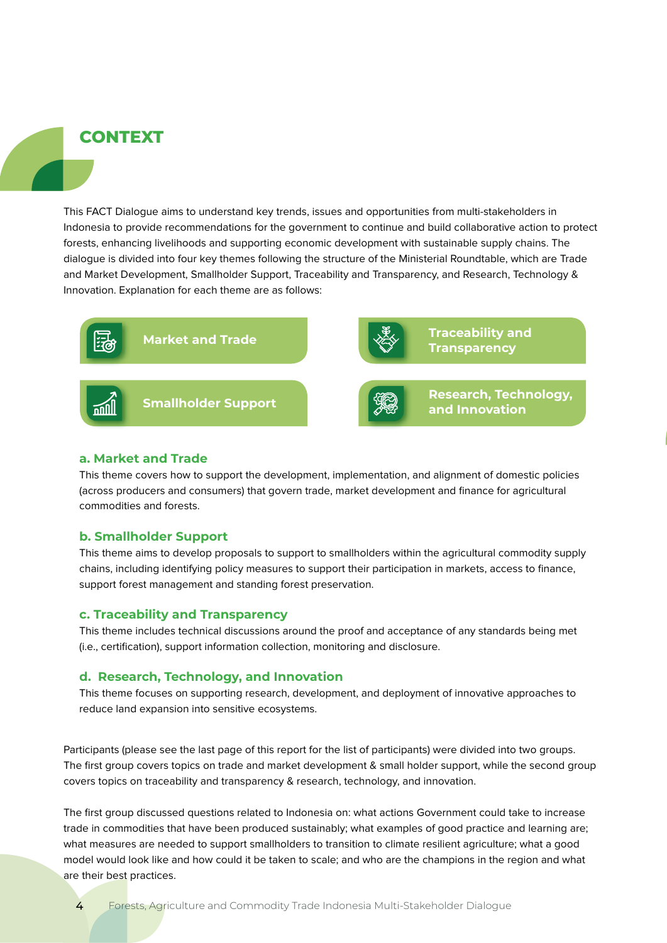# **CONTEXT**

This FACT Dialogue aims to understand key trends, issues and opportunities from multi-stakeholders in Indonesia to provide recommendations for the government to continue and build collaborative action to protect forests, enhancing livelihoods and supporting economic development with sustainable supply chains. The dialogue is divided into four key themes following the structure of the Ministerial Roundtable, which are Trade and Market Development, Smallholder Support, Traceability and Transparency, and Research, Technology & Innovation. Explanation for each theme are as follows:



### **a. Market and Trade**

This theme covers how to support the development, implementation, and alignment of domestic policies (across producers and consumers) that govern trade, market development and finance for agricultural commodities and forests.

### **b. Smallholder Support**

This theme aims to develop proposals to support to smallholders within the agricultural commodity supply chains, including identifying policy measures to support their participation in markets, access to finance, support forest management and standing forest preservation.

#### **c. Traceability and Transparency**

This theme includes technical discussions around the proof and acceptance of any standards being met (i.e., certification), support information collection, monitoring and disclosure.

#### **d. Research, Technology, and Innovation**

This theme focuses on supporting research, development, and deployment of innovative approaches to reduce land expansion into sensitive ecosystems.

Participants (please see the last page of this report for the list of participants) were divided into two groups. The first group covers topics on trade and market development & small holder support, while the second group covers topics on traceability and transparency & research, technology, and innovation.

The first group discussed questions related to Indonesia on: what actions Government could take to increase trade in commodities that have been produced sustainably; what examples of good practice and learning are; what measures are needed to support smallholders to transition to climate resilient agriculture; what a good model would look like and how could it be taken to scale; and who are the champions in the region and what are their best practices.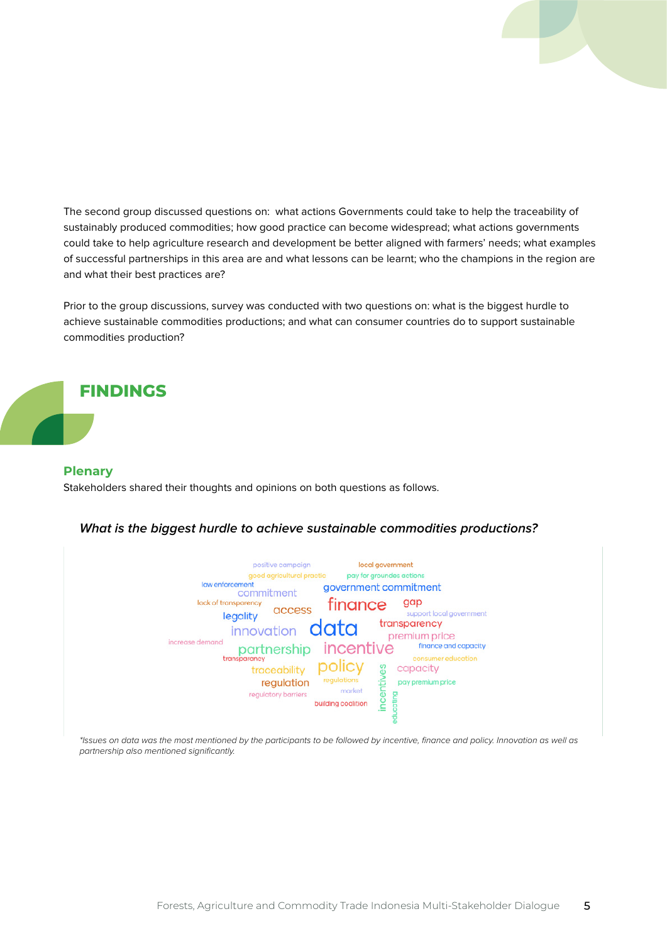The second group discussed questions on: what actions Governments could take to help the traceability of sustainably produced commodities; how good practice can become widespread; what actions governments could take to help agriculture research and development be better aligned with farmers' needs; what examples of successful partnerships in this area are and what lessons can be learnt; who the champions in the region are and what their best practices are?

Prior to the group discussions, survey was conducted with two questions on: what is the biggest hurdle to achieve sustainable commodities productions; and what can consumer countries do to support sustainable commodities production?

# **FINDINGS**

#### **Plenary**

Stakeholders shared their thoughts and opinions on both questions as follows.

#### **What is the biggest hurdle to achieve sustainable commodities productions?**



\*Issues on data was the most mentioned by the participants to be followed by incentive, finance and policy. Innovation as well as partnership also mentioned significantly.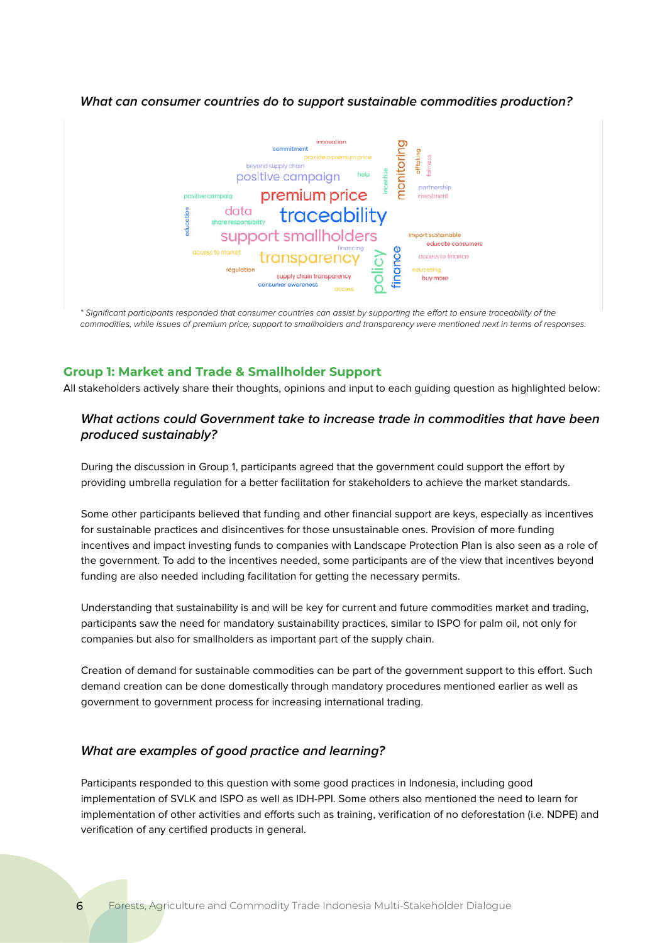### **What can consumer countries do to support sustainable commodities production?**



\* Significant participants responded that consumer countries can assist by supporting the effort to ensure traceability of the commodities, while issues of premium price, support to smallholders and transparency were mentioned next in terms of responses.

### **Group 1: Market and Trade & Smallholder Support**

All stakeholders actively share their thoughts, opinions and input to each guiding question as highlighted below:

# **What actions could Government take to increase trade in commodities that have been produced sustainably?**

During the discussion in Group 1, participants agreed that the government could support the effort by providing umbrella regulation for a better facilitation for stakeholders to achieve the market standards.

Some other participants believed that funding and other financial support are keys, especially as incentives for sustainable practices and disincentives for those unsustainable ones. Provision of more funding incentives and impact investing funds to companies with Landscape Protection Plan is also seen as a role of the government. To add to the incentives needed, some participants are of the view that incentives beyond funding are also needed including facilitation for getting the necessary permits.

Understanding that sustainability is and will be key for current and future commodities market and trading, participants saw the need for mandatory sustainability practices, similar to ISPO for palm oil, not only for companies but also for smallholders as important part of the supply chain.

Creation of demand for sustainable commodities can be part of the government support to this effort. Such demand creation can be done domestically through mandatory procedures mentioned earlier as well as government to government process for increasing international trading.

### **What are examples of good practice and learning?**

Participants responded to this question with some good practices in Indonesia, including good implementation of SVLK and ISPO as well as IDH-PPI. Some others also mentioned the need to learn for implementation of other activities and efforts such as training, verification of no deforestation (i.e. NDPE) and verification of any certified products in general.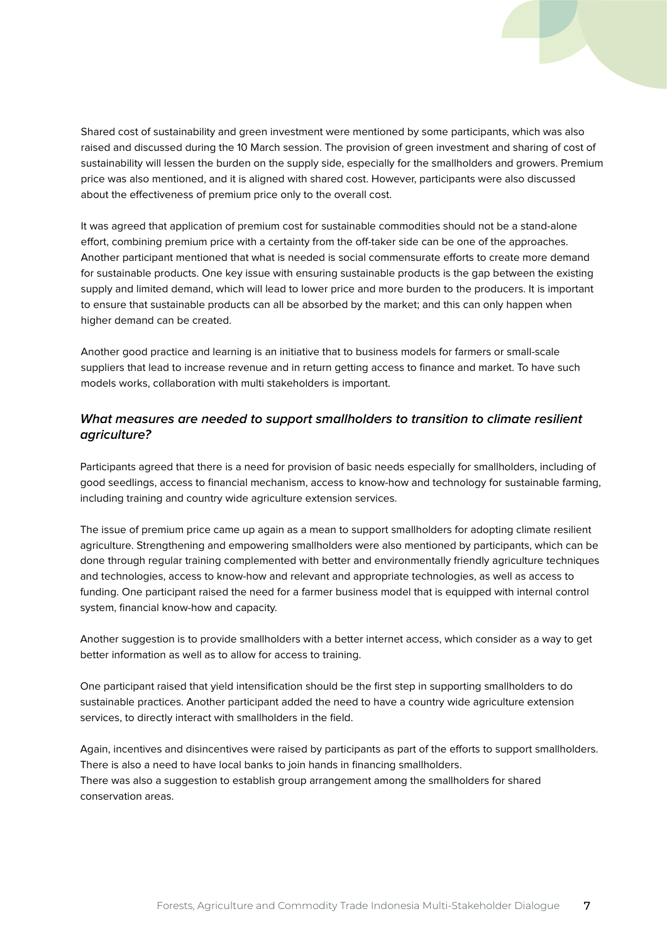Shared cost of sustainability and green investment were mentioned by some participants, which was also raised and discussed during the 10 March session. The provision of green investment and sharing of cost of sustainability will lessen the burden on the supply side, especially for the smallholders and growers. Premium price was also mentioned, and it is aligned with shared cost. However, participants were also discussed about the effectiveness of premium price only to the overall cost.

It was agreed that application of premium cost for sustainable commodities should not be a stand-alone effort, combining premium price with a certainty from the off-taker side can be one of the approaches. Another participant mentioned that what is needed is social commensurate efforts to create more demand for sustainable products. One key issue with ensuring sustainable products is the gap between the existing supply and limited demand, which will lead to lower price and more burden to the producers. It is important to ensure that sustainable products can all be absorbed by the market; and this can only happen when higher demand can be created.

Another good practice and learning is an initiative that to business models for farmers or small-scale suppliers that lead to increase revenue and in return getting access to finance and market. To have such models works, collaboration with multi stakeholders is important.

# **What measures are needed to support smallholders to transition to climate resilient agriculture?**

Participants agreed that there is a need for provision of basic needs especially for smallholders, including of good seedlings, access to financial mechanism, access to know-how and technology for sustainable farming, including training and country wide agriculture extension services.

The issue of premium price came up again as a mean to support smallholders for adopting climate resilient agriculture. Strengthening and empowering smallholders were also mentioned by participants, which can be done through regular training complemented with better and environmentally friendly agriculture techniques and technologies, access to know-how and relevant and appropriate technologies, as well as access to funding. One participant raised the need for a farmer business model that is equipped with internal control system, financial know-how and capacity.

Another suggestion is to provide smallholders with a better internet access, which consider as a way to get better information as well as to allow for access to training.

One participant raised that yield intensification should be the first step in supporting smallholders to do sustainable practices. Another participant added the need to have a country wide agriculture extension services, to directly interact with smallholders in the field.

Again, incentives and disincentives were raised by participants as part of the efforts to support smallholders. There is also a need to have local banks to join hands in financing smallholders. There was also a suggestion to establish group arrangement among the smallholders for shared conservation areas.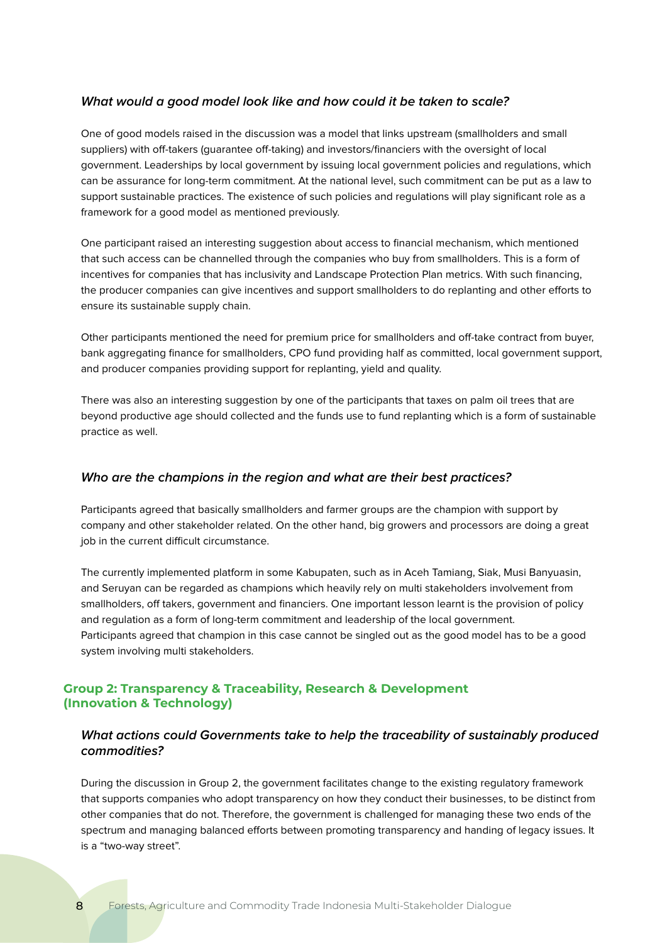### **What would a good model look like and how could it be taken to scale?**

One of good models raised in the discussion was a model that links upstream (smallholders and small suppliers) with off-takers (guarantee off-taking) and investors/financiers with the oversight of local government. Leaderships by local government by issuing local government policies and regulations, which can be assurance for long-term commitment. At the national level, such commitment can be put as a law to support sustainable practices. The existence of such policies and regulations will play significant role as a framework for a good model as mentioned previously.

One participant raised an interesting suggestion about access to financial mechanism, which mentioned that such access can be channelled through the companies who buy from smallholders. This is a form of incentives for companies that has inclusivity and Landscape Protection Plan metrics. With such financing, the producer companies can give incentives and support smallholders to do replanting and other efforts to ensure its sustainable supply chain.

Other participants mentioned the need for premium price for smallholders and off-take contract from buyer, bank aggregating finance for smallholders, CPO fund providing half as committed, local government support, and producer companies providing support for replanting, yield and quality.

There was also an interesting suggestion by one of the participants that taxes on palm oil trees that are beyond productive age should collected and the funds use to fund replanting which is a form of sustainable practice as well.

### **Who are the champions in the region and what are their best practices?**

Participants agreed that basically smallholders and farmer groups are the champion with support by company and other stakeholder related. On the other hand, big growers and processors are doing a great job in the current difficult circumstance.

The currently implemented platform in some Kabupaten, such as in Aceh Tamiang, Siak, Musi Banyuasin, and Seruyan can be regarded as champions which heavily rely on multi stakeholders involvement from smallholders, off takers, government and financiers. One important lesson learnt is the provision of policy and regulation as a form of long-term commitment and leadership of the local government. Participants agreed that champion in this case cannot be singled out as the good model has to be a good system involving multi stakeholders.

# **Group 2: Transparency & Traceability, Research & Development (Innovation & Technology)**

# **What actions could Governments take to help the traceability of sustainably produced commodities?**

During the discussion in Group 2, the government facilitates change to the existing regulatory framework that supports companies who adopt transparency on how they conduct their businesses, to be distinct from other companies that do not. Therefore, the government is challenged for managing these two ends of the spectrum and managing balanced efforts between promoting transparency and handing of legacy issues. It is a "two-way street".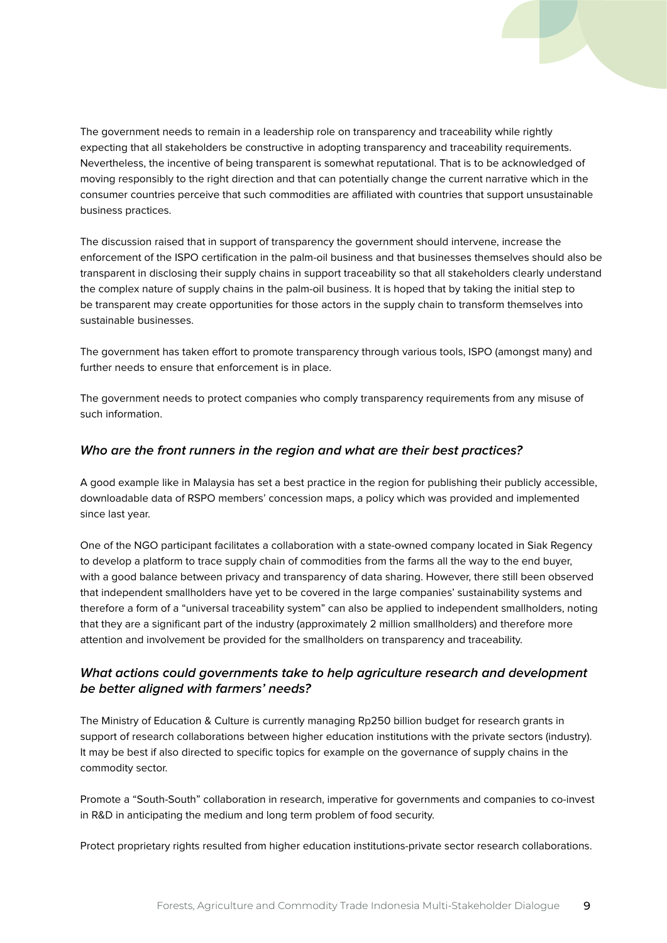The government needs to remain in a leadership role on transparency and traceability while rightly expecting that all stakeholders be constructive in adopting transparency and traceability requirements. Nevertheless, the incentive of being transparent is somewhat reputational. That is to be acknowledged of moving responsibly to the right direction and that can potentially change the current narrative which in the consumer countries perceive that such commodities are affiliated with countries that support unsustainable business practices.

The discussion raised that in support of transparency the government should intervene, increase the enforcement of the ISPO certification in the palm-oil business and that businesses themselves should also be transparent in disclosing their supply chains in support traceability so that all stakeholders clearly understand the complex nature of supply chains in the palm-oil business. It is hoped that by taking the initial step to be transparent may create opportunities for those actors in the supply chain to transform themselves into sustainable businesses.

The government has taken effort to promote transparency through various tools, ISPO (amongst many) and further needs to ensure that enforcement is in place.

The government needs to protect companies who comply transparency requirements from any misuse of such information.

# **Who are the front runners in the region and what are their best practices?**

A good example like in Malaysia has set a best practice in the region for publishing their publicly accessible, downloadable data of RSPO members' concession maps, a policy which was provided and implemented since last year.

One of the NGO participant facilitates a collaboration with a state-owned company located in Siak Regency to develop a platform to trace supply chain of commodities from the farms all the way to the end buyer, with a good balance between privacy and transparency of data sharing. However, there still been observed that independent smallholders have yet to be covered in the large companies' sustainability systems and therefore a form of a "universal traceability system" can also be applied to independent smallholders, noting that they are a significant part of the industry (approximately 2 million smallholders) and therefore more attention and involvement be provided for the smallholders on transparency and traceability.

# **What actions could governments take to help agriculture research and development be better aligned with farmers' needs?**

The Ministry of Education & Culture is currently managing Rp250 billion budget for research grants in support of research collaborations between higher education institutions with the private sectors (industry). It may be best if also directed to specific topics for example on the governance of supply chains in the commodity sector.

Promote a "South-South" collaboration in research, imperative for governments and companies to co-invest in R&D in anticipating the medium and long term problem of food security.

Protect proprietary rights resulted from higher education institutions-private sector research collaborations.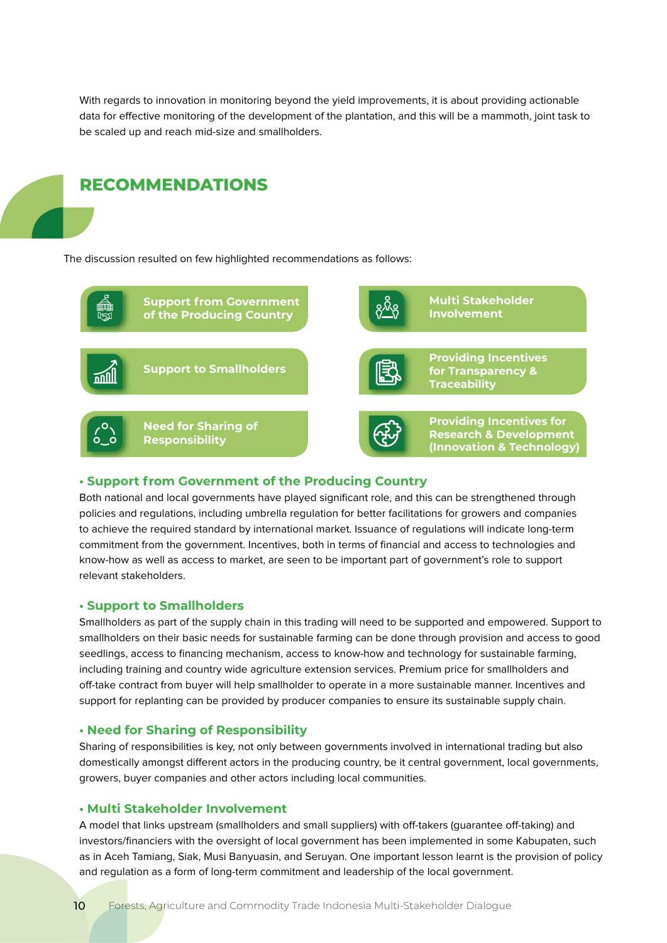With regards to innovation in monitoring beyond the yield improvements, it is about providing actionable data for effective monitoring of the development of the plantation, and this will be a mammoth, joint task to be scaled up and reach mid-size and smallholders.



#### **• Support from Government of the Producing Country**

Both national and local governments have played significant role, and this can be strengthened through policies and regulations, including umbrella regulation for better facilitations for growers and companies to achieve the required standard by international market. Issuance of regulations will indicate long-term commitment from the government. Incentives, both in terms of financial and access to technologies and know-how as well as access to market, are seen to be important part of government's role to support relevant stakeholders.

#### **• Support to Smallholders**

**RECOMMENDATIONS**

Smallholders as part of the supply chain in this trading will need to be supported and empowered. Support to smallholders on their basic needs for sustainable farming can be done through provision and access to good seedlings, access to financing mechanism, access to know-how and technology for sustainable farming, including training and country wide agriculture extension services. Premium price for smallholders and off-take contract from buyer will help smallholder to operate in a more sustainable manner. Incentives and support for replanting can be provided by producer companies to ensure its sustainable supply chain.

#### **• Need for Sharing of Responsibility**

Sharing of responsibilities is key, not only between governments involved in international trading but also domestically amongst different actors in the producing country, be it central government, local governments, growers, buyer companies and other actors including local communities.

### **• Multi Stakeholder Involvement**

A model that links upstream (smallholders and small suppliers) with off-takers (guarantee off-taking) and investors/financiers with the oversight of local government has been implemented in some Kabupaten, such as in Aceh Tamiang, Siak, Musi Banyuasin, and Seruyan. One important lesson learnt is the provision of policy and regulation as a form of long-term commitment and leadership of the local government.